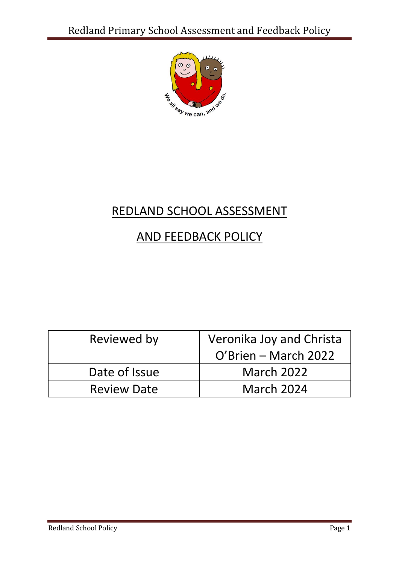

# REDLAND SCHOOL ASSESSMENT

# AND FEEDBACK POLICY

| Reviewed by        | Veronika Joy and Christa |
|--------------------|--------------------------|
|                    | O'Brien – March 2022     |
| Date of Issue      | <b>March 2022</b>        |
| <b>Review Date</b> | <b>March 2024</b>        |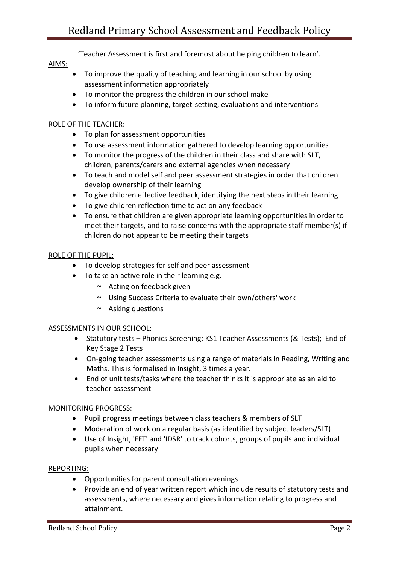'Teacher Assessment is first and foremost about helping children to learn'.

## AIMS:

- To improve the quality of teaching and learning in our school by using assessment information appropriately
- To monitor the progress the children in our school make
- To inform future planning, target-setting, evaluations and interventions

#### ROLE OF THE TEACHER:

- To plan for assessment opportunities
- To use assessment information gathered to develop learning opportunities
- To monitor the progress of the children in their class and share with SLT, children, parents/carers and external agencies when necessary
- To teach and model self and peer assessment strategies in order that children develop ownership of their learning
- To give children effective feedback, identifying the next steps in their learning
- To give children reflection time to act on any feedback
- To ensure that children are given appropriate learning opportunities in order to meet their targets, and to raise concerns with the appropriate staff member(s) if children do not appear to be meeting their targets

#### ROLE OF THE PUPIL:

- To develop strategies for self and peer assessment
- To take an active role in their learning e.g.
	- $\sim$  Acting on feedback given
	- ~ Using Success Criteria to evaluate their own/others' work
	- $\sim$  Asking questions

#### ASSESSMENTS IN OUR SCHOOL:

- Statutory tests Phonics Screening; KS1 Teacher Assessments (& Tests); End of Key Stage 2 Tests
- On-going teacher assessments using a range of materials in Reading, Writing and Maths. This is formalised in Insight, 3 times a year.
- End of unit tests/tasks where the teacher thinks it is appropriate as an aid to teacher assessment

#### MONITORING PROGRESS:

- Pupil progress meetings between class teachers & members of SLT
- Moderation of work on a regular basis (as identified by subject leaders/SLT)
- Use of Insight, 'FFT' and 'IDSR' to track cohorts, groups of pupils and individual pupils when necessary

#### REPORTING:

- Opportunities for parent consultation evenings
- Provide an end of year written report which include results of statutory tests and assessments, where necessary and gives information relating to progress and attainment.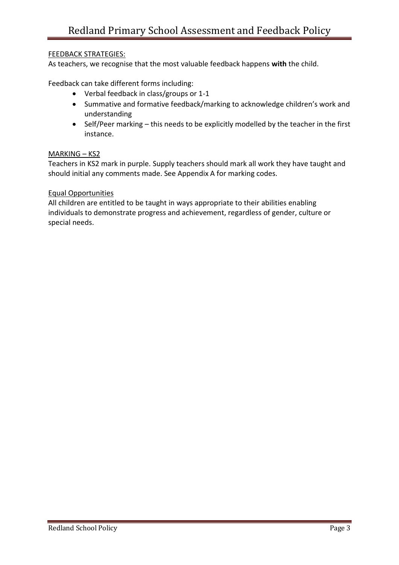#### FEEDBACK STRATEGIES:

As teachers, we recognise that the most valuable feedback happens **with** the child.

Feedback can take different forms including:

- Verbal feedback in class/groups or 1-1
- Summative and formative feedback/marking to acknowledge children's work and understanding
- Self/Peer marking this needs to be explicitly modelled by the teacher in the first instance.

#### MARKING – KS2

Teachers in KS2 mark in purple. Supply teachers should mark all work they have taught and should initial any comments made. See Appendix A for marking codes.

#### Equal Opportunities

All children are entitled to be taught in ways appropriate to their abilities enabling individuals to demonstrate progress and achievement, regardless of gender, culture or special needs.